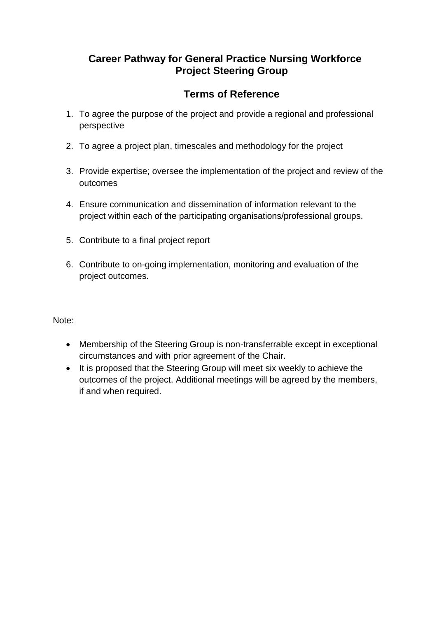## **Career Pathway for General Practice Nursing Workforce Project Steering Group**

## **Terms of Reference**

- 1. To agree the purpose of the project and provide a regional and professional perspective
- 2. To agree a project plan, timescales and methodology for the project
- 3. Provide expertise; oversee the implementation of the project and review of the outcomes
- 4. Ensure communication and dissemination of information relevant to the project within each of the participating organisations/professional groups.
- 5. Contribute to a final project report
- 6. Contribute to on-going implementation, monitoring and evaluation of the project outcomes.

Note:

- Membership of the Steering Group is non-transferrable except in exceptional circumstances and with prior agreement of the Chair.
- It is proposed that the Steering Group will meet six weekly to achieve the outcomes of the project. Additional meetings will be agreed by the members, if and when required.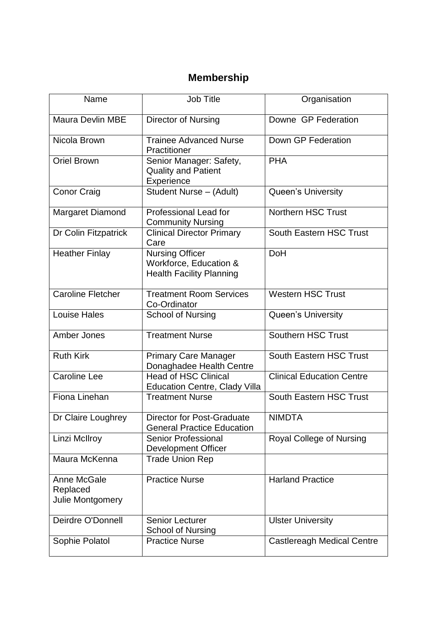## **Membership**

| Name                                        | Job Title                                                                           | Organisation                      |
|---------------------------------------------|-------------------------------------------------------------------------------------|-----------------------------------|
| <b>Maura Devlin MBE</b>                     | Director of Nursing                                                                 | Downe GP Federation               |
| Nicola Brown                                | <b>Trainee Advanced Nurse</b><br>Practitioner                                       | Down GP Federation                |
| <b>Oriel Brown</b>                          | Senior Manager: Safety,<br><b>Quality and Patient</b><br>Experience                 | <b>PHA</b>                        |
| <b>Conor Craig</b>                          | Student Nurse - (Adult)                                                             | Queen's University                |
| Margaret Diamond                            | <b>Professional Lead for</b><br><b>Community Nursing</b>                            | <b>Northern HSC Trust</b>         |
| Dr Colin Fitzpatrick                        | <b>Clinical Director Primary</b><br>Care                                            | South Eastern HSC Trust           |
| <b>Heather Finlay</b>                       | <b>Nursing Officer</b><br>Workforce, Education &<br><b>Health Facility Planning</b> | <b>DoH</b>                        |
| Caroline Fletcher                           | <b>Treatment Room Services</b><br>Co-Ordinator                                      | <b>Western HSC Trust</b>          |
| <b>Louise Hales</b>                         | <b>School of Nursing</b>                                                            | Queen's University                |
| Amber Jones                                 | <b>Treatment Nurse</b>                                                              | <b>Southern HSC Trust</b>         |
| <b>Ruth Kirk</b>                            | <b>Primary Care Manager</b><br>Donaghadee Health Centre                             | South Eastern HSC Trust           |
| <b>Caroline Lee</b>                         | <b>Head of HSC Clinical</b><br><b>Education Centre, Clady Villa</b>                 | <b>Clinical Education Centre</b>  |
| Fiona Linehan                               | <b>Treatment Nurse</b>                                                              | South Eastern HSC Trust           |
| Dr Claire Loughrey                          | Director for Post-Graduate<br><b>General Practice Education</b>                     | <b>NIMDTA</b>                     |
| Linzi McIlroy                               | Senior Professional<br><b>Development Officer</b>                                   | Royal College of Nursing          |
| Maura McKenna                               | <b>Trade Union Rep</b>                                                              |                                   |
| Anne McGale<br>Replaced<br>Julie Montgomery | <b>Practice Nurse</b>                                                               | <b>Harland Practice</b>           |
| Deirdre O'Donnell                           | <b>Senior Lecturer</b><br>School of Nursing                                         | <b>Ulster University</b>          |
| Sophie Polatol                              | <b>Practice Nurse</b>                                                               | <b>Castlereagh Medical Centre</b> |